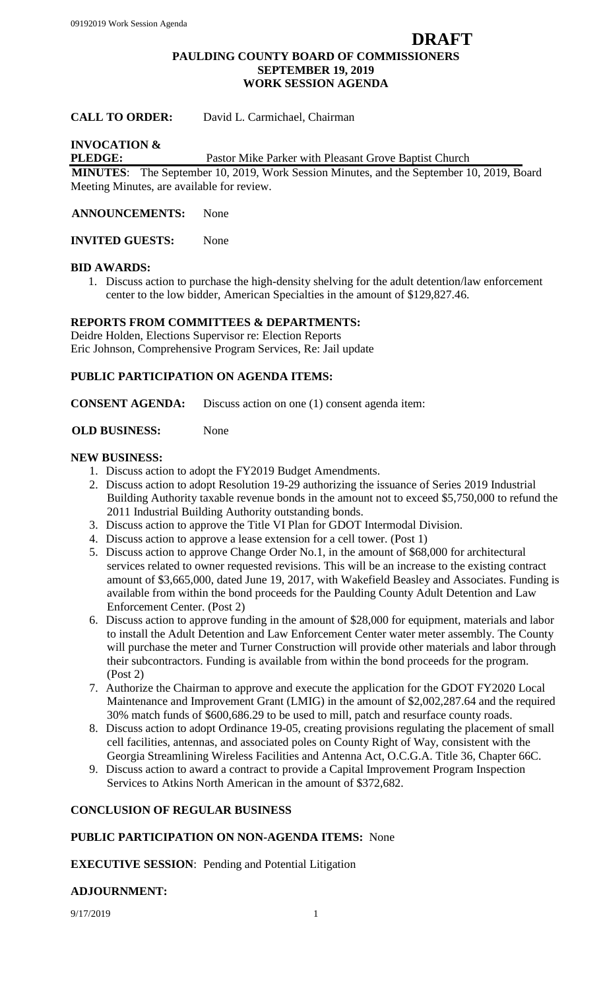## **DRAFT PAULDING COUNTY BOARD OF COMMISSIONERS SEPTEMBER 19, 2019 WORK SESSION AGENDA**

## **CALL TO ORDER:** David L. Carmichael, Chairman

# **INVOCATION &**

#### **PLEDGE:** Pastor Mike Parker with Pleasant Grove Baptist Church

**MINUTES**: The September 10, 2019, Work Session Minutes, and the September 10, 2019, Board Meeting Minutes, are available for review.

**ANNOUNCEMENTS:** None

**INVITED GUESTS:** None

#### **BID AWARDS:**

1. Discuss action to purchase the high-density shelving for the adult detention/law enforcement center to the low bidder, American Specialties in the amount of \$129,827.46.

## **REPORTS FROM COMMITTEES & DEPARTMENTS:**

Deidre Holden, Elections Supervisor re: Election Reports Eric Johnson, Comprehensive Program Services, Re: Jail update

## **PUBLIC PARTICIPATION ON AGENDA ITEMS:**

**CONSENT AGENDA:** Discuss action on one (1) consent agenda item:

#### **OLD BUSINESS:** None

## **NEW BUSINESS:**

- 1. Discuss action to adopt the FY2019 Budget Amendments.
- 2. Discuss action to adopt Resolution 19-29 authorizing the issuance of Series 2019 Industrial Building Authority taxable revenue bonds in the amount not to exceed \$5,750,000 to refund the 2011 Industrial Building Authority outstanding bonds.
- 3. Discuss action to approve the Title VI Plan for GDOT Intermodal Division.
- 4. Discuss action to approve a lease extension for a cell tower. (Post 1)
- 5. Discuss action to approve Change Order No.1, in the amount of \$68,000 for architectural services related to owner requested revisions. This will be an increase to the existing contract amount of \$3,665,000, dated June 19, 2017, with Wakefield Beasley and Associates. Funding is available from within the bond proceeds for the Paulding County Adult Detention and Law Enforcement Center. (Post 2)
- 6. Discuss action to approve funding in the amount of \$28,000 for equipment, materials and labor to install the Adult Detention and Law Enforcement Center water meter assembly. The County will purchase the meter and Turner Construction will provide other materials and labor through their subcontractors. Funding is available from within the bond proceeds for the program. (Post 2)
- 7. Authorize the Chairman to approve and execute the application for the GDOT FY2020 Local Maintenance and Improvement Grant (LMIG) in the amount of \$2,002,287.64 and the required 30% match funds of \$600,686.29 to be used to mill, patch and resurface county roads.
- 8. Discuss action to adopt Ordinance 19-05, creating provisions regulating the placement of small cell facilities, antennas, and associated poles on County Right of Way, consistent with the Georgia Streamlining Wireless Facilities and Antenna Act, O.C.G.A. Title 36, Chapter 66C.
- 9. Discuss action to award a contract to provide a Capital Improvement Program Inspection Services to Atkins North American in the amount of \$372,682.

# **CONCLUSION OF REGULAR BUSINESS**

#### **PUBLIC PARTICIPATION ON NON-AGENDA ITEMS:** None

**EXECUTIVE SESSION**: Pending and Potential Litigation

#### **ADJOURNMENT:**

9/17/2019 1